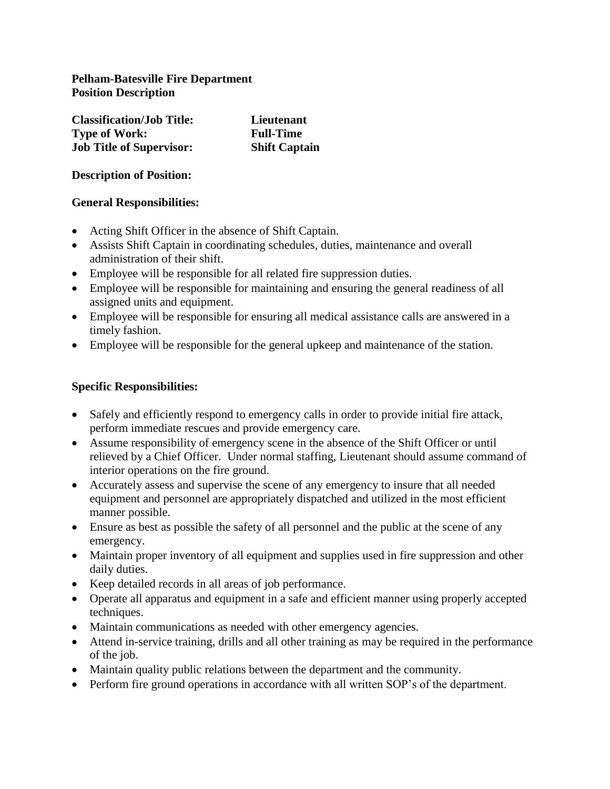## **Pelham-Batesville Fire Department Position Description**

| <b>Classification/Job Title:</b> | Lieutenant           |
|----------------------------------|----------------------|
| <b>Type of Work:</b>             | <b>Full-Time</b>     |
| <b>Job Title of Supervisor:</b>  | <b>Shift Captain</b> |

**Description of Position:**

## **General Responsibilities:**

- Acting Shift Officer in the absence of Shift Captain.
- Assists Shift Captain in coordinating schedules, duties, maintenance and overall administration of their shift.
- Employee will be responsible for all related fire suppression duties.
- Employee will be responsible for maintaining and ensuring the general readiness of all assigned units and equipment.
- Employee will be responsible for ensuring all medical assistance calls are answered in a timely fashion.
- Employee will be responsible for the general upkeep and maintenance of the station.

### **Specific Responsibilities:**

- Safely and efficiently respond to emergency calls in order to provide initial fire attack, perform immediate rescues and provide emergency care.
- Assume responsibility of emergency scene in the absence of the Shift Officer or until relieved by a Chief Officer. Under normal staffing, Lieutenant should assume command of interior operations on the fire ground.
- Accurately assess and supervise the scene of any emergency to insure that all needed equipment and personnel are appropriately dispatched and utilized in the most efficient manner possible.
- Ensure as best as possible the safety of all personnel and the public at the scene of any emergency.
- Maintain proper inventory of all equipment and supplies used in fire suppression and other daily duties.
- Keep detailed records in all areas of job performance.
- Operate all apparatus and equipment in a safe and efficient manner using properly accepted techniques.
- Maintain communications as needed with other emergency agencies.
- Attend in-service training, drills and all other training as may be required in the performance of the job.
- Maintain quality public relations between the department and the community.
- Perform fire ground operations in accordance with all written SOP's of the department.